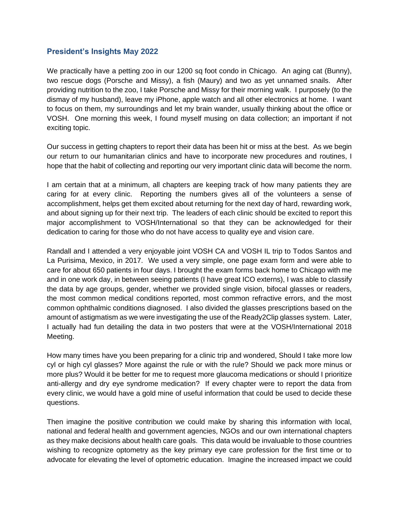## **President's Insights May 2022**

We practically have a petting zoo in our 1200 sq foot condo in Chicago. An aging cat (Bunny), two rescue dogs (Porsche and Missy), a fish (Maury) and two as yet unnamed snails. After providing nutrition to the zoo, I take Porsche and Missy for their morning walk. I purposely (to the dismay of my husband), leave my iPhone, apple watch and all other electronics at home. I want to focus on them, my surroundings and let my brain wander, usually thinking about the office or VOSH. One morning this week, I found myself musing on data collection; an important if not exciting topic.

Our success in getting chapters to report their data has been hit or miss at the best. As we begin our return to our humanitarian clinics and have to incorporate new procedures and routines, I hope that the habit of collecting and reporting our very important clinic data will become the norm.

I am certain that at a minimum, all chapters are keeping track of how many patients they are caring for at every clinic. Reporting the numbers gives all of the volunteers a sense of accomplishment, helps get them excited about returning for the next day of hard, rewarding work, and about signing up for their next trip. The leaders of each clinic should be excited to report this major accomplishment to VOSH/International so that they can be acknowledged for their dedication to caring for those who do not have access to quality eye and vision care.

Randall and I attended a very enjoyable joint VOSH CA and VOSH IL trip to Todos Santos and La Purisima, Mexico, in 2017. We used a very simple, one page exam form and were able to care for about 650 patients in four days. I brought the exam forms back home to Chicago with me and in one work day, in between seeing patients (I have great ICO externs), I was able to classify the data by age groups, gender, whether we provided single vision, bifocal glasses or readers, the most common medical conditions reported, most common refractive errors, and the most common ophthalmic conditions diagnosed. I also divided the glasses prescriptions based on the amount of astigmatism as we were investigating the use of the Ready2Clip glasses system. Later, I actually had fun detailing the data in two posters that were at the VOSH/International 2018 Meeting.

How many times have you been preparing for a clinic trip and wondered, Should I take more low cyl or high cyl glasses? More against the rule or with the rule? Should we pack more minus or more plus? Would it be better for me to request more glaucoma medications or should I prioritize anti-allergy and dry eye syndrome medication? If every chapter were to report the data from every clinic, we would have a gold mine of useful information that could be used to decide these questions.

Then imagine the positive contribution we could make by sharing this information with local, national and federal health and government agencies, NGOs and our own international chapters as they make decisions about health care goals. This data would be invaluable to those countries wishing to recognize optometry as the key primary eye care profession for the first time or to advocate for elevating the level of optometric education. Imagine the increased impact we could